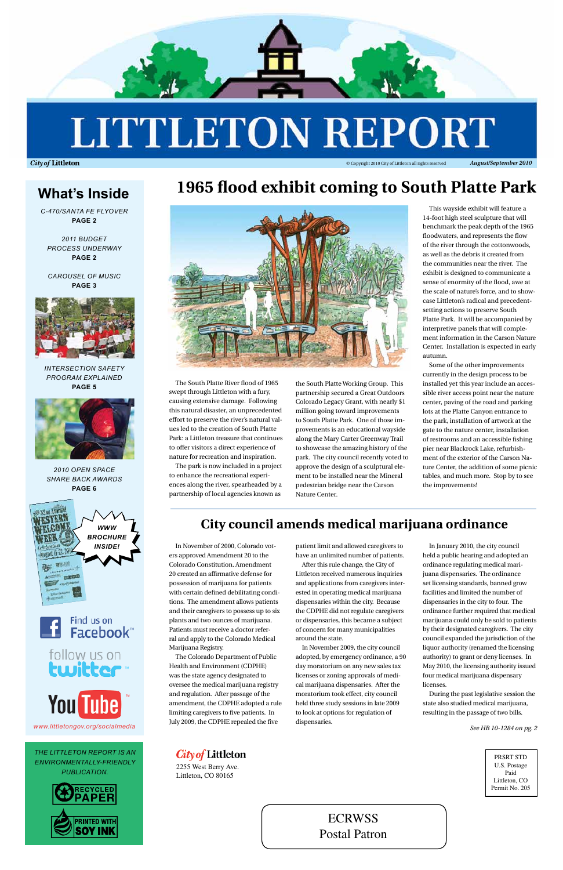

# **LITTLETON REPORT**

**City of Littleton** 



PRSRT STD U.S. Postage Paid Littleton, CO Permit No. 205

City of Littleton

2255 West Berry Ave. Littleton, CO 80165

© Copyright 2010 City of Littleton all rights reserved *August/September 2010*

# **1965 flood exhibit coming to South Platte Park**



The South Platte River flood of 1965 swept through Littleton with a fury, causing extensive damage. Following this natural disaster, an unprecedented effort to preserve the river's natural values led to the creation of South Platte Park: a Littleton treasure that continues to offer visitors a direct experience of nature for recreation and inspiration.

The park is now included in a project to enhance the recreational experiences along the river, spearheaded by a partnership of local agencies known as

the South Platte Working Group. This partnership secured a Great Outdoors Colorado Legacy Grant, with nearly \$1 million going toward improvements to South Platte Park. One of those improvements is an educational wayside along the Mary Carter Greenway Trail to showcase the amazing history of the park. The city council recently voted to approve the design of a sculptural element to be installed near the Mineral pedestrian bridge near the Carson Nature Center.

follow us on twitter ™

This wayside exhibit will feature a 14-foot high steel sculpture that will benchmark the peak depth of the 1965 floodwaters, and represents the flow of the river through the cottonwoods, as well as the debris it created from the communities near the river. The exhibit is designed to communicate a sense of enormity of the flood, awe at the scale of nature's force, and to showcase Littleton's radical and precedentsetting actions to preserve South Platte Park. It will be accompanied by interpretive panels that will complement information in the Carson Nature Center. Installation is expected in early autumn.

**INSIDE!** In November of 2000, Colorado voters approved Amendment 20 to the Colorado Constitution. Amendment 20 created an affirmative defense for possession of marijuana for patients with certain defined debilitating conditions. The amendment allows patients and their caregivers to possess up to six plants and two ounces of marijuana. Patients must receive a doctor referral and apply to the Colorado Medica Marijuana Registry. The Colorado Department of Public Health and Environment (CDPHE) was the state agency designated to oversee the medical marijuana registry and regulation. After passage of the amendment, the CDPHE adopted a rule limiting caregivers to five patients. In July 2009, the CDPHE repealed the five

After this rule change, the City of Littleton received numerous inquiries and applications from caregivers interested in operating medical marijuana dispensaries within the city. Because the CDPHE did not regulate caregivers or dispensaries, this became a subject of concern for many municipalities mund the state<sup>.</sup>

Some of the other improvements currently in the design process to be installed yet this year include an accessible river access point near the nature center, paving of the road and parking lots at the Platte Canyon entrance to the park, installation of artwork at the gate to the nature center, installation of restrooms and an accessible fishing pier near Blackrock Lake, refurbishment of the exterior of the Carson Nature Center, the addition of some picnic tables, and much more. Stop by to see the improvements!

# **What's Inside**

*C-470/Santa fe Flyover*  **page 2**

*2011 budget process underway* **page 2**

*Carousel of music* **page 3**



*intersection safety program explained* **page 5**



*2010 open space share back awards* **page 6**

*The Littleton Report is an environmentally-friendly publication.*









*www.littletongov.org/socialmedia*

patient limit and allowed caregivers to have an unlimited number of patients.

In November 2009, the city council adopted, by emergency ordinance, a 90 day moratorium on any new sales tax licenses or zoning approvals of medical marijuana dispensaries. After the moratorium took effect, city council held three study sessions in late 2009 to look at options for regulation of dispensaries.

In January 2010, the city council held a public hearing and adopted an ordinance regulating medical marijuana dispensaries. The ordinance set licensing standards, banned grow facilities and limited the number of dispensaries in the city to four. The ordinance further required that medical marijuana could only be sold to patients by their designated caregivers. The city council expanded the jurisdiction of the liquor authority (renamed the licensing authority) to grant or deny licenses. In May 2010, the licensing authority issued four medical marijuana dispensary licenses.

During the past legislative session the state also studied medical marijuana, resulting in the passage of two bills.

*See HB 10-1284 on pg. 2*

# **City council amends medical marijuana ordinance**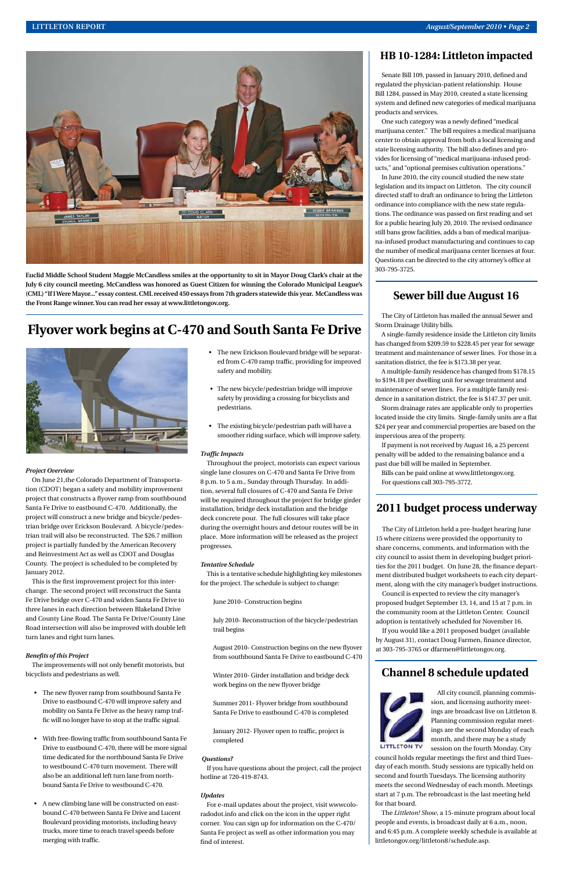

**Euclid Middle School Student Maggie McCandless smiles at the opportunity to sit in Mayor Doug Clark's chair at the July 6 city council meeting. McCandless was honored as Guest Citizen for winning the Colorado Municipal League's (CML) "If I Were Mayor..." essay contest. CML received 450 essays from 7th graders statewide this year. McCandless was the Front Range winner. You can read her essay at www.littletongov.org.**

# **2011 budget process underway**

The City of Littleton held a pre-budget hearing June 15 where citizens were provided the opportunity to share concerns, comments, and information with the city council to assist them in developing budget priorities for the 2011 budget. On June 28, the finance department distributed budget worksheets to each city department, along with the city manager's budget instructions.

Council is expected to review the city manager's proposed budget September 13, 14, and 15 at 7 p.m. in the community room at the Littleton Center. Council adoption is tentatively scheduled for November 16.

If you would like a 2011 proposed budget (available

by August 31), contact Doug Farmen, finance director, at 303-795-3765 or dfarmen@littletongov.org.

# **Sewer bill due August 16**

The City of Littleton has mailed the annual Sewer and Storm Drainage Utility bills.

A single-family residence inside the Littleton city limits has changed from \$209.59 to \$228.45 per year for sewage treatment and maintenance of sewer lines. For those in a sanitation district, the fee is \$173.38 per year.

A multiple-family residence has changed from \$178.15 to \$194.18 per dwelling unit for sewage treatment and maintenance of sewer lines. For a multiple family residence in a sanitation district, the fee is \$147.37 per unit.

Storm drainage rates are applicable only to properties located inside the city limits. Single-family units are a flat \$24 per year and commercial properties are based on the impervious area of the property.

If payment is not received by August 16, a 25 percent penalty will be added to the remaining balance and a past due bill will be mailed in September.

Bills can be paid online at www.littletongov.org. For questions call 303-795-3772.

### *Project Overview*

On June 21,the Colorado Department of Transportation (CDOT) began a safety and mobility improvement project that constructs a flyover ramp from southbound Santa Fe Drive to eastbound C-470. Additionally, the project will construct a new bridge and bicycle/pedestrian bridge over Erickson Boulevard. A bicycle/pedestrian trail will also be reconstructed. The \$26.7 million project is partially funded by the American Recovery and Reinvestment Act as well as CDOT and Douglas County. The project is scheduled to be completed by January 2012.

This is the first improvement project for this interchange. The second project will reconstruct the Santa Fe Drive bridge over C-470 and widen Santa Fe Drive to three lanes in each direction between Blakeland Drive and County Line Road. The Santa Fe Drive/County Line Road intersection will also be improved with double left turn lanes and right turn lanes.

### *Benefits of this Project*

The improvements will not only benefit motorists, but bicyclists and pedestrians as well.

- The new flyover ramp from southbound Santa Fe Drive to eastbound C-470 will improve safety and mobility on Santa Fe Drive as the heavy ramp traffic will no longer have to stop at the traffic signal.
- With free-flowing traffic from southbound Santa Fe Drive to eastbound C-470, there will be more signal time dedicated for the northbound Santa Fe Drive to westbound C-470 turn movement. There will also be an additional left turn lane from northbound Santa Fe Drive to westbound C-470.
- A new climbing lane will be constructed on eastbound C-470 between Santa Fe Drive and Lucent Boulevard providing motorists, including heavy trucks, more time to reach travel speeds before merging with traffic.

# **Flyover work begins at C-470 and South Santa Fe Drive**



- The new Erickson Boulevard bridge will be separated from C-470 ramp traffic, providing for improved safety and mobility.
- The new bicycle/pedestrian bridge will improve safety by providing a crossing for bicyclists and pedestrians.
- The existing bicycle/pedestrian path will have a smoother riding surface, which will improve safety.

# *Traffic Impacts*

Throughout the project, motorists can expect various single lane closures on C-470 and Santa Fe Drive from 8 p.m. to 5 a.m., Sunday through Thursday. In addition, several full closures of C-470 and Santa Fe Drive will be required throughout the project for bridge girder installation, bridge deck installation and the bridge deck concrete pour. The full closures will take place during the overnight hours and detour routes will be in place. More information will be released as the project progresses.

# *Tentative Schedule*

This is a tentative schedule highlighting key milestones for the project. The schedule is subject to change:

June 2010- Construction begins

July 2010- Reconstruction of the bicycle/pedestrian trail begins

August 2010- Construction begins on the new flyover from southbound Santa Fe Drive to eastbound C-470

Winter 2010- Girder installation and bridge deck work begins on the new flyover bridge

Summer 2011- Flyover bridge from southbound Santa Fe Drive to eastbound C-470 is completed

January 2012- Flyover open to traffic, project is completed

### *Questions?*

If you have questions about the project, call the project hotline at 720-419-8743.

# *Updates*

For e-mail updates about the project, visit wwwcoloradodot.info and click on the icon in the upper right corner. You can sign up for information on the C-470/ Santa Fe project as well as other information you may find of interest.

# **Channel 8 schedule updated**



All city council, planning commission, and licensing authority meetings are broadcast live on Littleton 8. Planning commission regular meetings are the second Monday of each month, and there may be a study session on the fourth Monday. City

council holds regular meetings the first and third Tuesday of each month. Study sessions are typically held on second and fourth Tuesdays. The licensing authority meets the second Wednesday of each month. Meetings start at 7 p.m. The rebroadcast is the last meeting held for that board.

The *Littleton! Show*, a 15-minute program about local people and events, is broadcast daily at 6 a.m., noon, and 6:45 p.m. A complete weekly schedule is available at littletongov.org/littleton8/schedule.asp.

# **HB 10-1284: Littleton impacted**

Senate Bill 109, passed in January 2010, defined and regulated the physician-patient relationship. House Bill 1284, passed in May 2010, created a state licensing system and defined new categories of medical marijuana products and services.

One such category was a newly defined "medical marijuana center." The bill requires a medical marijuana center to obtain approval from both a local licensing and state licensing authority. The bill also defines and provides for licensing of "medical marijuana-infused products," and "optional premises cultivation operations."

In June 2010, the city council studied the new state legislation and its impact on Littleton. The city council directed staff to draft an ordinance to bring the Littleton ordinance into compliance with the new state regulations. The ordinance was passed on first reading and set for a public hearing July 20, 2010. The revised ordinance still bans grow facilities, adds a ban of medical marijuana-infused product manufacturing and continues to cap the number of medical marijuana center licenses at four. Questions can be directed to the city attorney's office at 303-795-3725.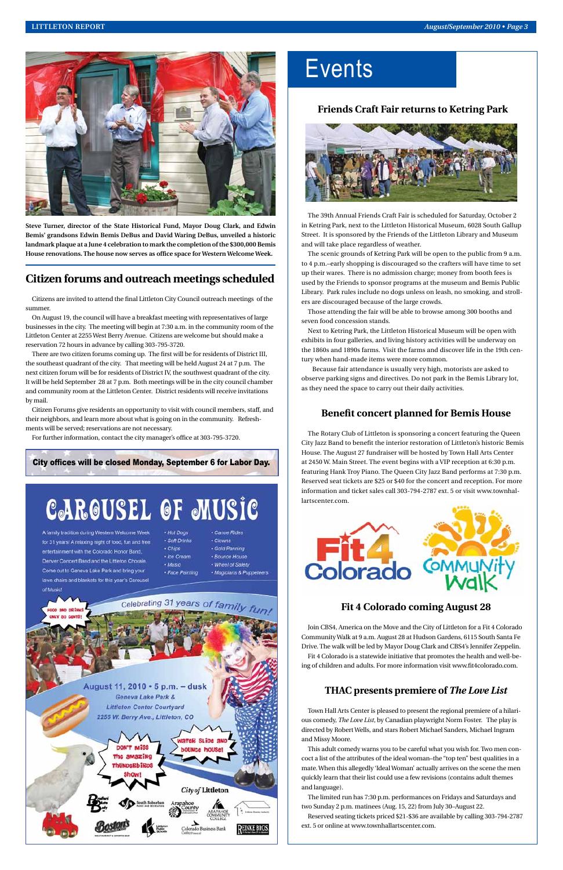# **Friends Craft Fair returns to Ketring Park**



The 39th Annual Friends Craft Fair is scheduled for Saturday, October 2 in Ketring Park, next to the Littleton Historical Museum, 6028 South Gallup Street. It is sponsored by the Friends of the Littleton Library and Museum and will take place regardless of weather.

The scenic grounds of Ketring Park will be open to the public from 9 a.m. to 4 p.m.–early shopping is discouraged so the crafters will have time to set up their wares. There is no admission charge; money from booth fees is used by the Friends to sponsor programs at the museum and Bemis Public Library. Park rules include no dogs unless on leash, no smoking, and strollers are discouraged because of the large crowds.

Those attending the fair will be able to browse among 300 booths and seven food concession stands.

Next to Ketring Park, the Littleton Historical Museum will be open with exhibits in four galleries, and living history activities will be underway on the 1860s and 1890s farms. Visit the farms and discover life in the 19th century when hand-made items were more common.

 Because fair attendance is usually very high, motorists are asked to observe parking signs and directives. Do not park in the Bemis Library lot, as they need the space to carry out their daily activities.

# **Benefit concert planned for Bemis House**

The Rotary Club of Littleton is sponsoring a concert featuring the Queen City Jazz Band to benefit the interior restoration of Littleton's historic Bemis House. The August 27 fundraiser will be hosted by Town Hall Arts Center at 2450 W. Main Street. The event begins with a VIP reception at 6:30 p.m. featuring Hank Troy Piano. The Queen City Jazz Band performs at 7:30 p.m. Reserved seat tickets are \$25 or \$40 for the concert and reception. For more information and ticket sales call 303-794-2787 ext. 5 or visit www.townhallartscenter.com.



# **Fit 4 Colorado coming August 28**

Join CBS4, America on the Move and the City of Littleton for a Fit 4 Colorado Community Walk at 9 a.m. August 28 at Hudson Gardens, 6115 South Santa Fe



Drive. The walk will be led by Mayor Doug Clark and CBS4's Jennifer Zeppelin. Fit 4 Colorado is a statewide initiative that promotes the health and well-being of children and adults. For more information visit www.fit4colorado.com.

# **THAC presents premiere of** *The Love List*

Town Hall Arts Center is pleased to present the regional premiere of a hilarious comedy, *The Love List*, by Canadian playwright Norm Foster. The play is directed by Robert Wells, and stars Robert Michael Sanders, Michael Ingram and Missy Moore.

This adult comedy warns you to be careful what you wish for. Two men concoct a list of the attributes of the ideal woman–the "top ten" best qualities in a mate. When this allegedly 'Ideal Woman' actually arrives on the scene the men quickly learn that their list could use a few revisions (contains adult themes and language).

The limited run has 7:30 p.m. performances on Fridays and Saturdays and two Sunday 2 p.m. matinees (Aug. 15, 22) from July 30–August 22.

Reserved seating tickets priced \$21-\$36 are available by calling 303-794-2787 ext. 5 or online at www.townhallartscenter.com.



**Steve Turner, director of the State Historical Fund, Mayor Doug Clark, and Edwin Bemis' grandsons Edwin Bemis DeBus and David Waring DeBus, unveiled a historic landmark plaque at a June 4 celebration to mark the completion of the \$300,000 Bemis House renovations. The house now serves as office space for Western Welcome Week.** 

# **Citizen forums and outreach meetings scheduled**

Citizens are invited to attend the final Littleton City Council outreach meetings of the summer.

On August 19, the council will have a breakfast meeting with representatives of large businesses in the city. The meeting will begin at 7:30 a.m. in the community room of the Littleton Center at 2255 West Berry Avenue. Citizens are welcome but should make a reservation 72 hours in advance by calling 303-795-3720.

There are two citizen forums coming up. The first will be for residents of District III, the southeast quadrant of the city. That meeting will be held August 24 at 7 p.m. The next citizen forum will be for residents of District IV, the southwest quadrant of the city. It will be held September 28 at 7 p.m. Both meetings will be in the city council chamber and community room at the Littleton Center. District residents will receive invitations by mail.

Citizen Forums give residents an opportunity to visit with council members, staff, and their neighbors, and learn more about what is going on in the community. Refreshments will be served; reservations are not necessary.

For further information, contact the city manager's office at 303-795-3720.

City offices will be closed Monday, September 6 for Labor Day.

# **CAROUSEL OF MUSIC**

 $-$ Soft

 $-Mus$ 

Celebrating 31 years of family fun

A family tradition during Western Welcome Week for 31 years! A relaxing night of food, fun and free entertainment with the Colorado Honor Band, Denver Concert Band and the Littleton Chorale Come out to Geneva Lake Park and bring your lawn chairs and blankets for this year's Carousel of Music

| ogs           | · Canoe Rides        |
|---------------|----------------------|
| <b>Drinks</b> | • Clowns             |
|               | · Gold Panning       |
| ream          | · Bounce House       |
| Ï             | · Wheel of Safety    |
| Painting      | • Magicians & Puppet |
|               |                      |

# **Events**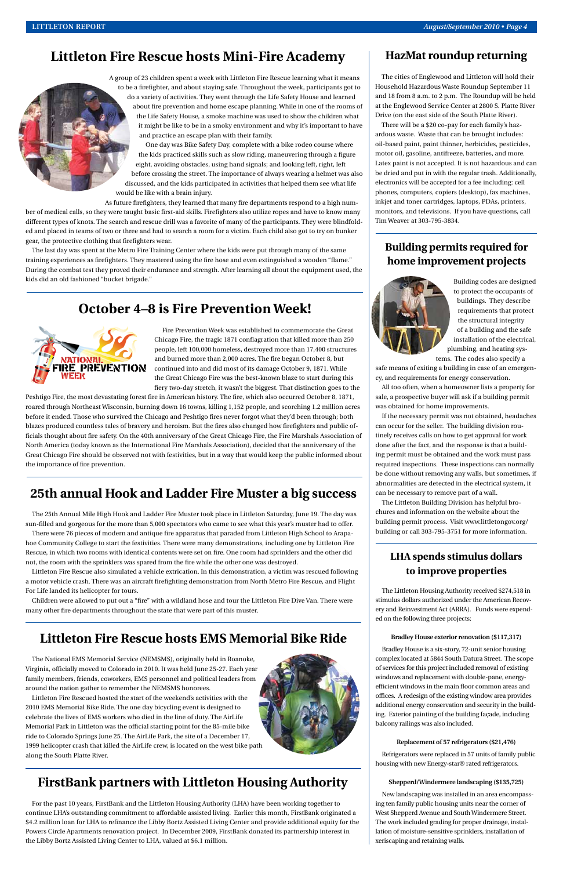# **October 4–8 is Fire Prevention Week!**



Fire Prevention Week was established to commemorate the Great Chicago Fire, the tragic 1871 conflagration that killed more than 250 people, left 100,000 homeless, destroyed more than 17,400 structures and burned more than 2,000 acres. The fire began October 8, but continued into and did most of its damage October 9, 1871. While the Great Chicago Fire was the best-known blaze to start during this fiery two-day stretch, it wasn't the biggest. That distinction goes to the

Peshtigo Fire, the most devastating forest fire in American history. The fire, which also occurred October 8, 1871, roared through Northeast Wisconsin, burning down 16 towns, killing 1,152 people, and scorching 1.2 million acres before it ended. Those who survived the Chicago and Peshtigo fires never forgot what they'd been through; both blazes produced countless tales of bravery and heroism. But the fires also changed how firefighters and public officials thought about fire safety. On the 40th anniversary of the Great Chicago Fire, the Fire Marshals Association of North America (today known as the International Fire Marshals Association), decided that the anniversary of the Great Chicago Fire should be observed not with festivities, but in a way that would keep the public informed about the importance of fire prevention.

# **Littleton Fire Rescue hosts Mini-Fire Academy**

A group of 23 children spent a week with Littleton Fire Rescue learning what it means to be a firefighter, and about staying safe. Throughout the week, participants got to do a variety of activities. They went through the Life Safety House and learned about fire prevention and home escape planning. While in one of the rooms of the Life Safety House, a smoke machine was used to show the children what it might be like to be in a smoky environment and why it's important to have and practice an escape plan with their family.

One day was Bike Safety Day, complete with a bike rodeo course where the kids practiced skills such as slow riding, maneuvering through a figure eight, avoiding obstacles, using hand signals; and looking left, right, left before crossing the street. The importance of always wearing a helmet was also discussed, and the kids participated in activities that helped them see what life would be like with a brain injury.

As future firefighters, they learned that many fire departments respond to a high number of medical calls, so they were taught basic first-aid skills. Firefighters also utilize ropes and have to know many different types of knots. The search and rescue drill was a favorite of many of the participants. They were blindfolded and placed in teams of two or three and had to search a room for a victim. Each child also got to try on bunker gear, the protective clothing that firefighters wear.

The last day was spent at the Metro Fire Training Center where the kids were put through many of the same training experiences as firefighters. They mastered using the fire hose and even extinguished a wooden "flame." During the combat test they proved their endurance and strength. After learning all about the equipment used, the kids did an old fashioned "bucket brigade."

# **HazMat roundup returning**

The cities of Englewood and Littleton will hold their Household Hazardous Waste Roundup September 11 and 18 from 8 a.m. to 2 p.m. The Roundup will be held at the Englewood Service Center at 2800 S. Platte River Drive (on the east side of the South Platte River).

There will be a \$20 co-pay for each family's hazardous waste. Waste that can be brought includes: oil-based paint, paint thinner, herbicides, pesticides, motor oil, gasoline, antifreeze, batteries, and more. Latex paint is not accepted. It is not hazardous and can be dried and put in with the regular trash. Additionally, electronics will be accepted for a fee including: cell phones, computers, copiers (desktop), fax machines, inkjet and toner cartridges, laptops, PDAs, printers, monitors, and televisions. If you have questions, call Tim Weaver at 303-795-3834.

# **Building permits required for home improvement projects**



Building codes are designed to protect the occupants of buildings. They describe requirements that protect the structural integrity of a building and the safe installation of the electrical, plumbing, and heating systems. The codes also specify a

safe means of exiting a building in case of an emergency, and requirements for energy conservation.

All too often, when a homeowner lists a property for sale, a prospective buyer will ask if a building permit was obtained for home improvements.

If the necessary permit was not obtained, headaches can occur for the seller. The building division routinely receives calls on how to get approval for work done after the fact, and the response is that a building permit must be obtained and the work must pass required inspections. These inspections can normally be done without removing any walls, but sometimes, if abnormalities are detected in the electrical system, it can be necessary to remove part of a wall.

The Littleton Building Division has helpful brochures and information on the website about the building permit process. Visit www.littletongov.org/ building or call 303-795-3751 for more information.

# **LHA spends stimulus dollars to improve properties**

The Littleton Housing Authority received \$274,518 in stimulus dollars authorized under the American Recovery and Reinvestment Act (ARRA). Funds were expended on the following three projects:

**Bradley House exterior renovation (\$117,317)**

Bradley House is a six-story, 72-unit senior housing complex located at 5844 South Datura Street. The scope of services for this project included removal of existing windows and replacement with double-pane, energyefficient windows in the main floor common areas and offices. A redesign of the existing window area provides additional energy conservation and security in the building. Exterior painting of the building façade, including balcony railings was also included.

### **Replacement of 57 refrigerators (\$21,476)**

Refrigerators were replaced in 57 units of family public housing with new Energy-star® rated refrigerators.

# **Shepperd/Windermere landscaping (\$135,725)**

New landscaping was installed in an area encompassing ten family public housing units near the corner of West Shepperd Avenue and South Windermere Street. The work included grading for proper drainage, installation of moisture-sensitive sprinklers, installation of xeriscaping and retaining walls.

# **25th annual Hook and Ladder Fire Muster a big success**

The 25th Annual Mile High Hook and Ladder Fire Muster took place in Littleton Saturday, June 19. The day was sun-filled and gorgeous for the more than 5,000 spectators who came to see what this year's muster had to offer.

There were 76 pieces of modern and antique fire apparatus that paraded from Littleton High School to Arapahoe Community College to start the festivities. There were many demonstrations, including one by Littleton Fire Rescue, in which two rooms with identical contents were set on fire. One room had sprinklers and the other did not, the room with the sprinklers was spared from the fire while the other one was destroyed.

Littleton Fire Rescue also simulated a vehicle extrication. In this demonstration, a victim was rescued following a motor vehicle crash. There was an aircraft firefighting demonstration from North Metro Fire Rescue, and Flight For Life landed its helicopter for tours.

Children were allowed to put out a "fire" with a wildland hose and tour the Littleton Fire Dive Van. There were many other fire departments throughout the state that were part of this muster.

# **Littleton Fire Rescue hosts EMS Memorial Bike Ride**

The National EMS Memorial Service (NEMSMS), originally held in Roanoke, Virginia, officially moved to Colorado in 2010. It was held June 25-27. Each year family members, friends, coworkers, EMS personnel and political leaders from around the nation gather to remember the NEMSMS honorees.

Littleton Fire Rescued hosted the start of the weekend's activities with the 2010 EMS Memorial Bike Ride. The one day bicycling event is designed to celebrate the lives of EMS workers who died in the line of duty. The AirLife Memorial Park in Littleton was the official starting point for the 85-mile bike ride to Colorado Springs June 25. The AirLife Park, the site of a December 17, 1999 helicopter crash that killed the AirLife crew, is located on the west bike path along the South Platte River.

# **FirstBank partners with Littleton Housing Authority**

For the past 10 years, FirstBank and the Littleton Housing Authority (LHA) have been working together to continue LHA's outstanding commitment to affordable assisted living. Earlier this month, FirstBank originated a \$4.2 million loan for LHA to refinance the Libby Bortz Assisted Living Center and provide additional equity for the Powers Circle Apartments renovation project. In December 2009, FirstBank donated its partnership interest in the Libby Bortz Assisted Living Center to LHA, valued at \$6.1 million.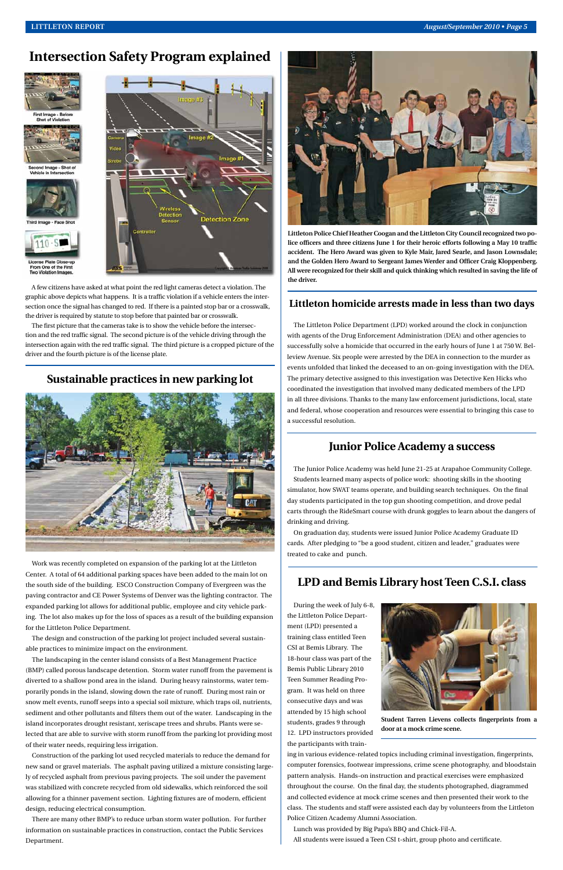A few citizens have asked at what point the red light cameras detect a violation. The graphic above depicts what happens. It is a traffic violation if a vehicle enters the intersection once the signal has changed to red. If there is a painted stop bar or a crosswalk, the driver is required by statute to stop before that painted bar or crosswalk.

The first picture that the cameras take is to show the vehicle before the intersection and the red traffic signal. The second picture is of the vehicle driving through the intersection again with the red traffic signal. The third picture is a cropped picture of the driver and the fourth picture is of the license plate.

**Littleton Police Chief Heather Coogan and the Littleton City Council recognized two police officers and three citizens June 1 for their heroic efforts following a May 10 traffic accident. The Hero Award was given to Kyle Mair, Jared Searle, and Jason Lownsdale; and the Golden Hero Award to Sergeant James Werder and Officer Craig Kloppenberg. All were recognized for their skill and quick thinking which resulted in saving the life of the driver.**

# **Intersection Safety Program explained**





ond Image - Shot of<br>hicle in Intersection





From One of the First **Violation In** 



# **Junior Police Academy a success**

The Junior Police Academy was held June 21-25 at Arapahoe Community College. Students learned many aspects of police work: shooting skills in the shooting simulator, how SWAT teams operate, and building search techniques. On the final day students participated in the top gun shooting competition, and drove pedal carts through the RideSmart course with drunk goggles to learn about the dangers of drinking and driving.

On graduation day, students were issued Junior Police Academy Graduate ID cards. After pledging to "be a good student, citizen and leader," graduates were treated to cake and punch.

# **Littleton homicide arrests made in less than two days**

The Littleton Police Department (LPD) worked around the clock in conjunction with agents of the Drug Enforcement Administration (DEA) and other agencies to successfully solve a homicide that occurred in the early hours of June 1 at 750 W. Belleview Avenue. Six people were arrested by the DEA in connection to the murder as events unfolded that linked the deceased to an on-going investigation with the DEA. The primary detective assigned to this investigation was Detective Ken Hicks who coordinated the investigation that involved many dedicated members of the LPD in all three divisions. Thanks to the many law enforcement jurisdictions, local, state and federal, whose cooperation and resources were essential to bringing this case to a successful resolution.

# **LPD and Bemis Library host Teen C.S.I. class**

During the week of July 6-8, the Littleton Police Department (LPD) presented a training class entitled Teen CSI at Bemis Library. The 18-hour class was part of the Bemis Public Library 2010 Teen Summer Reading Program. It was held on three consecutive days and was attended by 15 high school students, grades 9 through 12. LPD instructors provided the participants with train-



ing in various evidence-related topics including criminal investigation, fingerprints, computer forensics, footwear impressions, crime scene photography, and bloodstain pattern analysis. Hands-on instruction and practical exercises were emphasized throughout the course. On the final day, the students photographed, diagrammed and collected evidence at mock crime scenes and then presented their work to the class. The students and staff were assisted each day by volunteers from the Littleton Police Citizen Academy Alumni Association.

Lunch was provided by Big Papa's BBQ and Chick-Fil-A. All students were issued a Teen CSI t-shirt, group photo and certificate.

**Student Tarren Lievens collects fingerprints from a door at a mock crime scene.**

Work was recently completed on expansion of the parking lot at the Littleton Center. A total of 64 additional parking spaces have been added to the main lot on the south side of the building. ESCO Construction Company of Evergreen was the paving contractor and CE Power Systems of Denver was the lighting contractor. The expanded parking lot allows for additional public, employee and city vehicle parking. The lot also makes up for the loss of spaces as a result of the building expansion for the Littleton Police Department.

The design and construction of the parking lot project included several sustain-



able practices to minimize impact on the environment.

The landscaping in the center island consists of a Best Management Practice (BMP) called porous landscape detention. Storm water runoff from the pavement is diverted to a shallow pond area in the island. During heavy rainstorms, water temporarily ponds in the island, slowing down the rate of runoff. During most rain or snow melt events, runoff seeps into a special soil mixture, which traps oil, nutrients, sediment and other pollutants and filters them out of the water. Landscaping in the island incorporates drought resistant, xeriscape trees and shrubs. Plants were selected that are able to survive with storm runoff from the parking lot providing most of their water needs, requiring less irrigation.

Construction of the parking lot used recycled materials to reduce the demand for new sand or gravel materials. The asphalt paving utilized a mixture consisting largely of recycled asphalt from previous paving projects. The soil under the pavement was stabilized with concrete recycled from old sidewalks, which reinforced the soil allowing for a thinner pavement section. Lighting fixtures are of modern, efficient design, reducing electrical consumption.

There are many other BMP's to reduce urban storm water pollution. For further information on sustainable practices in construction, contact the Public Services Department.

# **Sustainable practices in new parking lot**

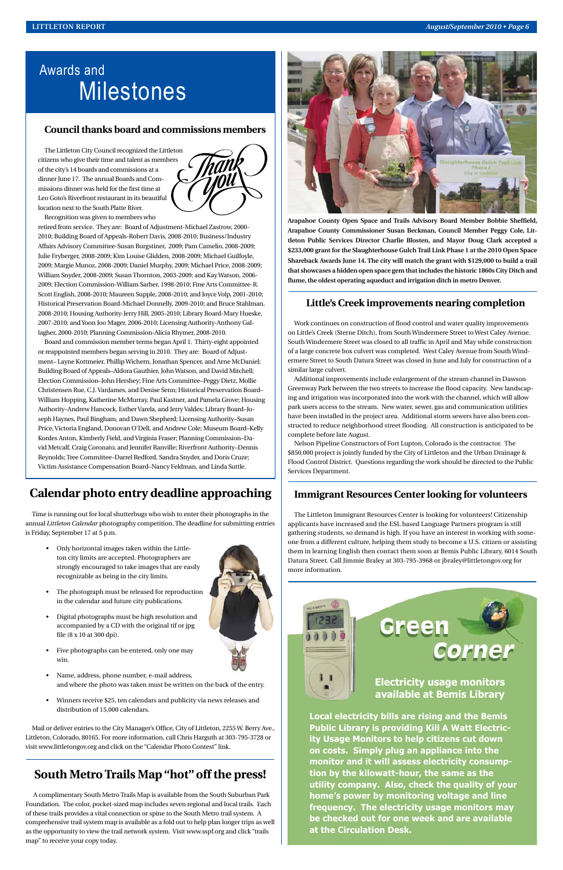# **Little's Creek improvements nearing completion**

Work continues on construction of flood control and water quality improvements on Little's Creek (Sterne Ditch), from South Windermere Street to West Caley Avenue. South Windermere Street was closed to all traffic in April and May while construction of a large concrete box culvert was completed. West Caley Avenue from South Windermere Street to South Datura Street was closed in June and July for construction of a similar large culvert.

Additional improvements include enlargement of the stream channel in Dawson Greenway Park between the two streets to increase the flood capacity. New landscaping and irrigation was incorporated into the work with the channel, which will allow park users access to the stream. New water, sewer, gas and communication utilities have been installed in the project area. Additional storm sewers have also been constructed to reduce neighborhood street flooding. All construction is anticipated to be complete before late August.

Nelson Pipeline Constructors of Fort Lupton, Colorado is the contractor. The \$850,000 project is jointly funded by the City of Littleton and the Urban Drainage & Flood Control District. Questions regarding the work should be directed to the Public Services Department.

# Awards and Milestones

# **Council thanks board and commissions members**

The Littleton City Council recognized the Littleton citizens who give their time and talent as members of the city's 14 boards and commissions at a dinner June 17. The annual Boards and Commissions dinner was held for the first time at Leo Goto's Riverfront restaurant in its beautiful location next to the South Platte River.



Recognition was given to members who

retired from service. They are: Board of Adjustment-Michael Zastrow, 2000- 2010; Building Board of Appeals-Robert Davis, 2008-2010; Business/Industry Affairs Advisory Committee-Susan Burgstiner, 2009; Pam Camelio, 2008-2009; Julie Fryberger, 2008-2009; Kim Louise Glidden, 2008-2009; Michael Guilfoyle, 2009; Margie Munoz, 2008-2009; Daniel Murphy, 2009; Michael Price, 2008-2009; William Snyder, 2008-2009; Susan Thornton, 2003-2009; and Kay Watson, 2006- 2009; Election Commission-William Sarber, 1998-2010; Fine Arts Committee-R. Scott English, 2008-2010; Maureen Supple, 2008-2010; and Joyce Volp, 2001-2010; Historical Preservation Board-Michael Donnelly, 2009-2010; and Bruce Stahlman, 2008-2010; Housing Authority-Jerry Hill, 2005-2010; Library Board-Mary Hueske, 2007-2010; and Yoon Joo Mager, 2006-2010; Licensing Authority-Anthony Gallagher, 2000-2010; Planning Commission-Alicia Rhymer, 2008-2010.

Board and commission member terms began April 1. Thirty-eight appointed or reappointed members began serving in 2010. They are: Board of Adjustment– Layne Kottmeier, Phillip Wichern, Jonathan Spencer, and Arne McDaniel; Building Board of Appeals–Aldora Gauthier, John Watson, and David Mitchell; Election Commission–John Hershey; Fine Arts Committee–Peggy Dietz, Mollie Christensen Rue, C.J. VanJames, and Denise Senn; Historical Preservation Board– William Hopping, Katherine McMurray, Paul Kastner, and Pamela Grove; Housing Authority–Andrew Hancock, Esther Varela, and Jerry Valdes; Library Board–Joseph Haynes, Paul Bingham, and Dawn Shepherd; Licensing Authority–Susan Price, Victoria England, Donovan O'Dell, and Andrew Cole; Museum Board–Kelly Kordes Anton, Kimberly Field, and Virginia Fraser; Planning Commission–David Metcalf, Craig Coronato, and Jennifer Ranville; Riverfront Authority–Dennis Reynolds; Tree Committee–Darrel Redford, Sandra Snyder, and Doris Cruze; Victim Assistance Compensation Board–Nancy Feldman, and Linda Suttle.

**Arapahoe County Open Space and Trails Advisory Board Member Bobbie Sheffield, Arapahoe County Commissioner Susan Beckman, Council Member Peggy Cole, Littleton Public Services Director Charlie Blosten, and Mayor Doug Clark accepted a \$233,000 grant for the Slaughterhouse Gulch Trail Link Phase 1 at the 2010 Open Space Shareback Awards June 14. The city will match the grant with \$129,000 to build a trail that showcases a hidden open space gem that includes the historic 1860s City Ditch and flume, the oldest operating aqueduct and irrigation ditch in metro Denver.**



**available at Bemis Library**

**Local electricity bills are rising and the Bemis Public Library is providing Kill A Watt Electricity Usage Monitors to help citizens cut down on costs. Simply plug an appliance into the monitor and it will assess electricity consumption by the kilowatt-hour, the same as the utility company. Also, check the quality of your home's power by monitoring voltage and line frequency. The electricity usage monitors may be checked out for one week and are available at the Circulation Desk.**

# **Calendar photo entry deadline approaching**

Time is running out for local shutterbugs who wish to enter their photographs in the annual *Littleton Calendar* photography competition. The deadline for submitting entries is Friday, September 17 at 5 p.m.

- Only horizontal images taken within the Littleton city limits are accepted. Photographers are strongly encouraged to take images that are easily recognizable as being in the city limits.
- The photograph must be released for reproduction in the calendar and future city publications.
- Digital photographs must be high resolution and accompanied by a CD with the original tif or jpg file (8 x 10 at 300 dpi).





- Five photographs can be entered, only one may win.
- Name, address, phone number, e-mail address, and where the photo was taken must be written on the back of the entry.
- Winners receive \$25, ten calendars and publicity via news releases and distribution of 15,000 calendars.

Mail or deliver entries to the City Manager's Office, City of Littleton, 2255 W. Berry Ave., Littleton, Colorado, 80165. For more information, call Chris Harguth at 303-795-3728 or visit www.littletongov.org and click on the "Calendar Photo Contest" link.

# **Immigrant Resources Center looking for volunteers**

The Littleton Immigrant Resources Center is looking for volunteers! Citizenship applicants have increased and the ESL based Language Partners program is still gathering students, so demand is high. If you have an interest in working with someone from a different culture, helping them study to become a U.S. citizen or assisting them in learning English then contact them soon at Bemis Public Library, 6014 South Datura Street. Call Jimmie Braley at 303-795-3968 or jbraley@littletongov.org for more information.

# **South Metro Trails Map "hot" off the press!**

 A complimentary South Metro Trails Map is available from the South Suburban Park Foundation. The color, pocket-sized map includes seven regional and local trails. Each of these trails provides a vital connection or spine to the South Metro trail system. A comprehensive trail system map is available as a fold out to help plan longer trips as well as the opportunity to view the trail network system. Visit www.sspf.org and click "trails map" to receive your copy today.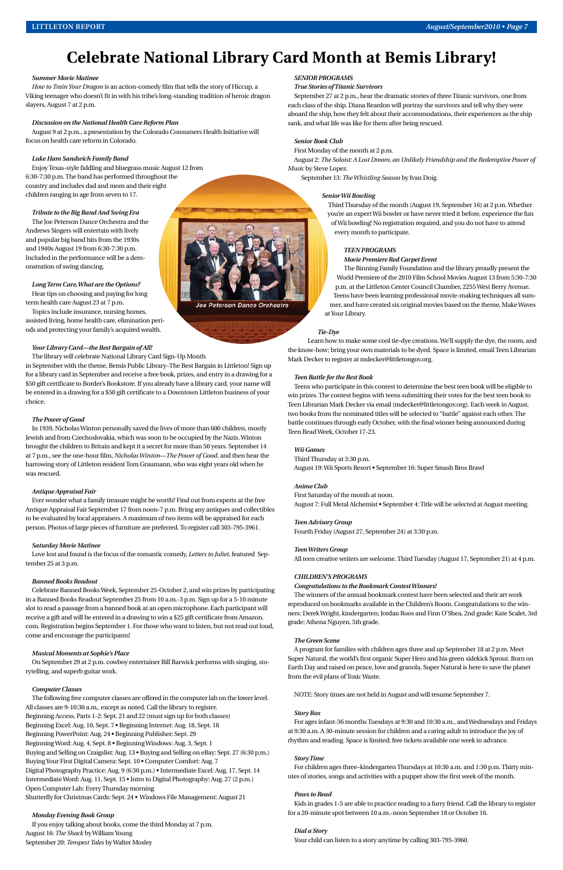# *Summer Movie Matinee*

*How to Train Your Dragon* is an action-comedy film that tells the story of Hiccup, a Viking teenager who doesn't fit in with his tribe's long-standing tradition of heroic dragon slayers, August 7 at 2 p.m.

### *Discussion on the National Health Care Reform Plan*

August 9 at 2 p.m., a presentation by the Colorado Consumers Health Initiative will focus on health care reform in Colorado.

### *Luke Ham Sandwich Family Band*

Enjoy Texas-style fiddling and bluegrass music August 12 from 6:30-7:30 p.m. The band has performed throughout the country and includes dad and mom and their eight children ranging in age from seven to 17.

### *Tribute to the Big Band And Swing Era*

The Joe Peterson Dance Orchestra and the Andrews Singers will entertain with lively and popular big band hits from the 1930s and 1940s August 19 from 6:30-7:30 p.m. Included in the performance will be a demonstration of swing dancing.

# *Long Term Care, What are the Options?* Hear tips on choosing and paying for long

term health care August 23 at 7 p.m.

Topics include insurance, nursing homes, assisted living, home health care, elimination periods and protecting your family's acquired wealth.

### *Your Library Card—the Best Bargain of All!*

The library will celebrate National Library Card Sign-Up Month

in September with the theme, Bemis Public Library–The Best Bargain in Littleton! Sign up for a library card in September and receive a free book, prizes, and entry in a drawing for a \$50 gift certificate to Border's Bookstore. If you already have a library card, your name will be entered in a drawing for a \$50 gift certificate to a Downtown Littleton business of your choice.

### *The Power of Good*

In 1939, Nicholas Winton personally saved the lives of more than 600 children, mostly Jewish and from Czechoslovakia, which was soon to be occupied by the Nazis. Winton brought the children to Britain and kept it a secret for more than 50 years. September 14 at 7 p.m., see the one-hour film, *Nicholas Winton—The Power of Good*, and then hear the harrowing story of Littleton resident Tom Graumann, who was eight years old when he was rescued.

### *Antique Appraisal Fair*

Ever wonder what a family treasure might be worth? Find out from experts at the free Antique Appraisal Fair September 17 from noon-7 p.m. Bring any antiques and collectibles to be evaluated by local appraisers. A maximum of two items will be appraised for each person. Photos of large pieces of furniture are preferred. To register call 303-795-3961.

### *Saturday Movie Matinee*

Love lost and found is the focus of the romantic comedy, *Letters to Juliet*, featured September 25 at 3 p.m.

### *Banned Books Readout*

Celebrate Banned Books Week, September 25-October 2, and win prizes by participating in a Banned Books Readout September 25 from 10 a.m.-3 p.m. Sign up for a 5-10 minute slot to read a passage from a banned book at an open microphone. Each participant will receive a gift and will be entered in a drawing to win a \$25 gift certificate from Amazon. com. Registration begins September 1. For those who want to listen, but not read out loud, come and encourage the participants!

### *Musical Moments at Sophie's Place*

On September 29 at 2 p.m. cowboy entertainer Bill Barwick performs with singing, storytelling, and superb guitar work.

### *Computer Classes*

The following free computer classes are offered in the computer lab on the lower level. All classes are 9-10:30 a.m,. except as noted. Call the library to register. Beginning Access, Parts 1-2: Sept. 21 and 22 (must sign up for both classes) Beginning Excel: Aug. 10, Sept. 7 • Beginning Internet: Aug. 18, Sept. 18 Beginning PowerPoint: Aug. 24 • Beginning Publisher: Sept. 29 Beginning Word: Aug. 4, Sept. 8 • Beginning Windows: Aug. 3, Sept. 1 Buying and Selling on Craigslist: Aug. 13 • Buying and Selling on eBay: Sept. 27 (6:30 p.m.) Buying Your First Digital Camera: Sept. 10 • Computer Comfort: Aug. 7 Digital Photography Practice: Aug. 9 (6:30 p.m.) • Intermediate Excel: Aug. 17, Sept. 14 Intermediate Word: Aug. 11, Sept. 15 • Intro to Digital Photography: Aug. 27 (2 p.m.) Open Computer Lab: Every Thursday morning

Shutterfly for Christmas Cards: Sept. 24 • Windows File Management: August 21

# *Monday Evening Book Group*

If you enjoy talking about books, come the third Monday at 7 p.m. August 16: *The Shack* by William Young September 20: *Tempest Tales* by Walter Mosley

# *SENIOR PROGRAMS*

### *True Stories of Titanic Survivors*

September 27 at 2 p.m., hear the dramatic stories of three Titanic survivors, one from each class of the ship. Diana Reardon will portray the survivors and tell why they were aboard the ship, how they felt about their accommodations, their experiences as the ship sank, and what life was like for them after being rescued.

# *Senior Book Club*

First Monday of the month at 2 p.m.

August 2: *The Soloist: A Lost Dream, an Unlikely Friendship and the Redemptive Power of Music* by Steve Lopez.

September 13: *The Whistling Season* by Ivan Doig.

# *Senior Wii Bowling*

Third Thursday of the month (August 19, September 16) at 2 p.m. Whether you're an expert Wii bowler or have never tried it before, experience the fun of Wii bowling! No registration required, and you do not have to attend every month to participate.

## *TEEN PROGRAMS*

*Movie Premiere Red Carpet Event*

The Binning Family Foundation and the library proudly present the World Premiere of the 2010 Film School Movies August 13 from 5:30-7:30 p.m. at the Littleton Center Council Chamber, 2255 West Berry Avenue. Teens have been learning professional movie-making techniques all summer, and have created six original movies based on the theme, Make Waves at Your Library.

### *Tie-Dye*

Learn how to make some cool tie-dye creations. We'll supply the dye, the room, and the know-how; bring your own materials to be dyed. Space is limited, email Teen Librarian Mark Decker to register at mdecker@littletongov.org.

## *Teen Battle for the Best Book*

Teens who participate in this contest to determine the best teen book will be eligible to win prizes. The contest begins with teens submitting their votes for the best teen book to Teen Librarian Mark Decker via email (mdecker@littletongov.org). Each week in August, two books from the nominated titles will be selected to "battle" against each other. The battle continues through early October, with the final winner being announced during Teen Read Week, October 17-23.

### *Wii Games*

Third Thursday at 3:30 p.m. August 19: Wii Sports Resort • September 16: Super Smash Bros Brawl

# *Anime Club*

First Saturday of the month at noon.

August 7: Full Metal Alchemist • September 4: Title will be selected at August meeting.

### *Teen Advisory Group*

Fourth Friday (August 27, September 24) at 3:30 p.m.

# *Teen Writers Group*

All teen creative writers are welcome. Third Tuesday (August 17, September 21) at 4 p.m.

### *CHILDREN'S PROGRAMS*

*Congratulations to the Bookmark Contest Winners!*

The winners of the annual bookmark contest have been selected and their art work reproduced on bookmarks available in the Children's Room. Congratulations to the winners: Derek Wright, kindergarten; Jordan Roos and Finn O'Shea, 2nd grade; Kate Scalet, 3rd grade; Athena Nguyen, 5th grade.



### *The Green Scene*

A program for families with children ages three and up September 18 at 2 p.m. Meet Super Natural, the world's first organic Super Hero and his green sidekick Sprout. Born on Earth Day and raised on peace, love and granola, Super Natural is here to save the planet from the evil plans of Toxic Waste.

NOTE: Story times are not held in August and will resume September 7.

## *Story Box*

For ages infant-36 months Tuesdays at 9:30 and 10:30 a.m., and Wednesdays and Fridays at 9:30 a.m. A 30-minute session for children and a caring adult to introduce the joy of rhythm and reading. Space is limited; free tickets available one week in advance.

### *Story Time*

For children ages three–kindergarten Thursdays at 10:30 a.m. and 1:30 p.m. Thirty minutes of stories, songs and activities with a puppet show the first week of the month.

### *Paws to Read*

Kids in grades 1-5 are able to practice reading to a furry friend. Call the library to register for a 20-minute spot between 10 a.m.-noon September 18 or October 16.

### *Dial a Story*

Your child can listen to a story anytime by calling 303-795-3960.

# **Celebrate National Library Card Month at Bemis Library!**